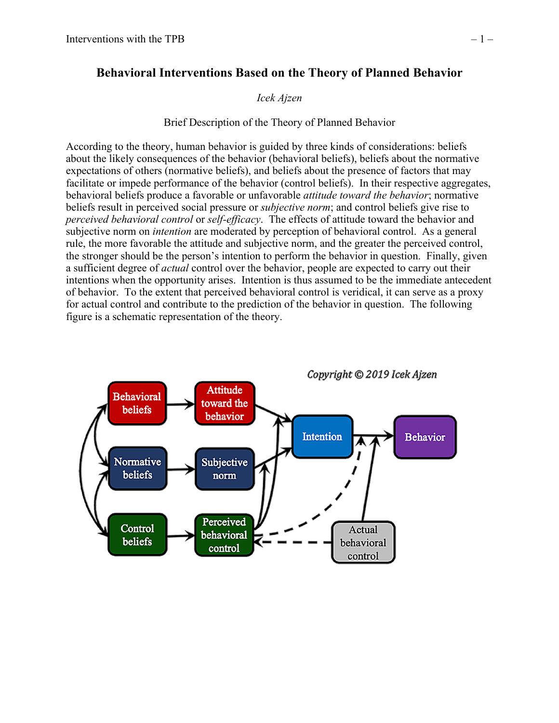# **Behavioral Interventions Based on the Theory of Planned Behavior**

# *Icek Ajzen*

# Brief Description of the Theory of Planned Behavior

According to the theory, human behavior is guided by three kinds of considerations: beliefs about the likely consequences of the behavior (behavioral beliefs), beliefs about the normative expectations of others (normative beliefs), and beliefs about the presence of factors that may facilitate or impede performance of the behavior (control beliefs). In their respective aggregates, behavioral beliefs produce a favorable or unfavorable *attitude toward the behavior*; normative beliefs result in perceived social pressure or *subjective norm*; and control beliefs give rise to *perceived behavioral control* or *self-efficacy*. The effects of attitude toward the behavior and subjective norm on *intention* are moderated by perception of behavioral control. As a general rule, the more favorable the attitude and subjective norm, and the greater the perceived control, the stronger should be the person's intention to perform the behavior in question. Finally, given a sufficient degree of *actual* control over the behavior, people are expected to carry out their intentions when the opportunity arises. Intention is thus assumed to be the immediate antecedent of behavior. To the extent that perceived behavioral control is veridical, it can serve as a proxy for actual control and contribute to the prediction of the behavior in question. The following figure is a schematic representation of the theory.

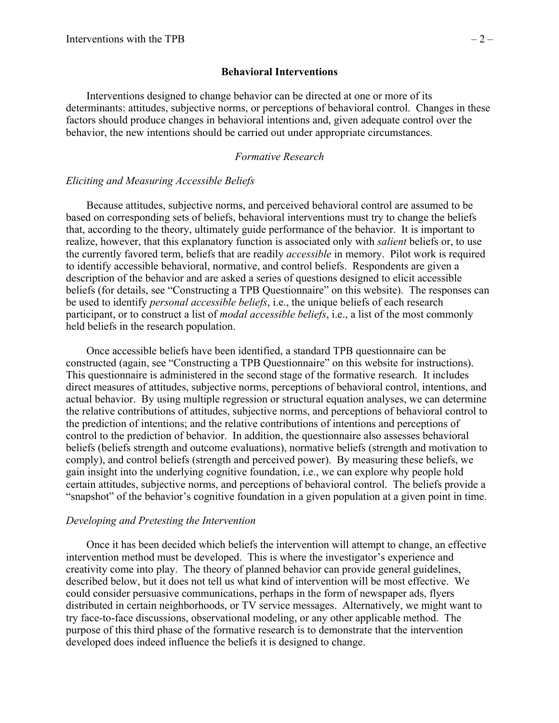### **Behavioral Interventions**

Interventions designed to change behavior can be directed at one or more of its determinants: attitudes, subjective norms, or perceptions of behavioral control. Changes in these factors should produce changes in behavioral intentions and, given adequate control over the behavior, the new intentions should be carried out under appropriate circumstances.

#### *Formative Research*

#### *Eliciting and Measuring Accessible Beliefs*

Because attitudes, subjective norms, and perceived behavioral control are assumed to be based on corresponding sets of beliefs, behavioral interventions must try to change the beliefs that, according to the theory, ultimately guide performance of the behavior. It is important to realize, however, that this explanatory function is associated only with *salient* beliefs or, to use the currently favored term, beliefs that are readily *accessible* in memory. Pilot work is required to identify accessible behavioral, normative, and control beliefs. Respondents are given a description of the behavior and are asked a series of questions designed to elicit accessible beliefs (for details, see "Constructing a TPB Questionnaire" on this website). The responses can be used to identify *personal accessible beliefs*, i.e., the unique beliefs of each research participant, or to construct a list of *modal accessible beliefs*, i.e., a list of the most commonly held beliefs in the research population.

Once accessible beliefs have been identified, a standard TPB questionnaire can be constructed (again, see "Constructing a TPB Questionnaire" on this website for instructions). This questionnaire is administered in the second stage of the formative research. It includes direct measures of attitudes, subjective norms, perceptions of behavioral control, intentions, and actual behavior. By using multiple regression or structural equation analyses, we can determine the relative contributions of attitudes, subjective norms, and perceptions of behavioral control to the prediction of intentions; and the relative contributions of intentions and perceptions of control to the prediction of behavior. In addition, the questionnaire also assesses behavioral beliefs (beliefs strength and outcome evaluations), normative beliefs (strength and motivation to comply), and control beliefs (strength and perceived power). By measuring these beliefs, we gain insight into the underlying cognitive foundation, i.e., we can explore why people hold certain attitudes, subjective norms, and perceptions of behavioral control. The beliefs provide a "snapshot" of the behavior's cognitive foundation in a given population at a given point in time.

#### *Developing and Pretesting the Intervention*

Once it has been decided which beliefs the intervention will attempt to change, an effective intervention method must be developed. This is where the investigator's experience and creativity come into play. The theory of planned behavior can provide general guidelines, described below, but it does not tell us what kind of intervention will be most effective. We could consider persuasive communications, perhaps in the form of newspaper ads, flyers distributed in certain neighborhoods, or TV service messages. Alternatively, we might want to try face-to-face discussions, observational modeling, or any other applicable method. The purpose of this third phase of the formative research is to demonstrate that the intervention developed does indeed influence the beliefs it is designed to change.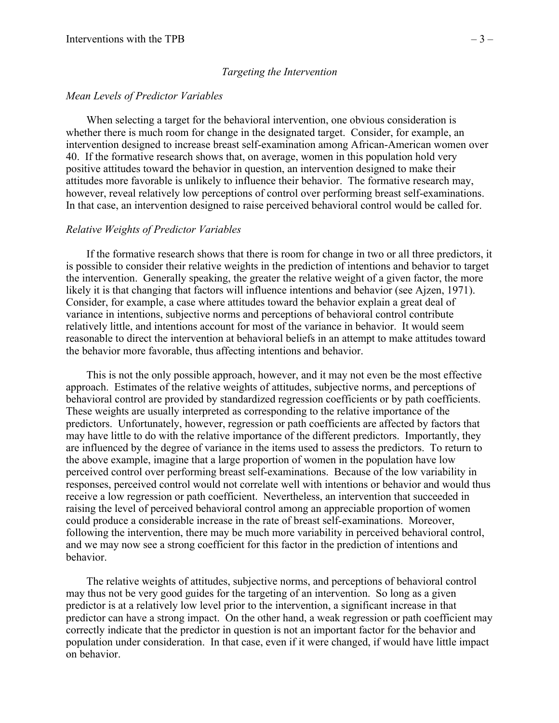#### *Targeting the Intervention*

#### *Mean Levels of Predictor Variables*

When selecting a target for the behavioral intervention, one obvious consideration is whether there is much room for change in the designated target. Consider, for example, an intervention designed to increase breast self-examination among African-American women over 40. If the formative research shows that, on average, women in this population hold very positive attitudes toward the behavior in question, an intervention designed to make their attitudes more favorable is unlikely to influence their behavior. The formative research may, however, reveal relatively low perceptions of control over performing breast self-examinations. In that case, an intervention designed to raise perceived behavioral control would be called for.

#### *Relative Weights of Predictor Variables*

If the formative research shows that there is room for change in two or all three predictors, it is possible to consider their relative weights in the prediction of intentions and behavior to target the intervention. Generally speaking, the greater the relative weight of a given factor, the more likely it is that changing that factors will influence intentions and behavior (see Ajzen, 1971). Consider, for example, a case where attitudes toward the behavior explain a great deal of variance in intentions, subjective norms and perceptions of behavioral control contribute relatively little, and intentions account for most of the variance in behavior. It would seem reasonable to direct the intervention at behavioral beliefs in an attempt to make attitudes toward the behavior more favorable, thus affecting intentions and behavior.

This is not the only possible approach, however, and it may not even be the most effective approach. Estimates of the relative weights of attitudes, subjective norms, and perceptions of behavioral control are provided by standardized regression coefficients or by path coefficients. These weights are usually interpreted as corresponding to the relative importance of the predictors. Unfortunately, however, regression or path coefficients are affected by factors that may have little to do with the relative importance of the different predictors. Importantly, they are influenced by the degree of variance in the items used to assess the predictors. To return to the above example, imagine that a large proportion of women in the population have low perceived control over performing breast self-examinations. Because of the low variability in responses, perceived control would not correlate well with intentions or behavior and would thus receive a low regression or path coefficient. Nevertheless, an intervention that succeeded in raising the level of perceived behavioral control among an appreciable proportion of women could produce a considerable increase in the rate of breast self-examinations. Moreover, following the intervention, there may be much more variability in perceived behavioral control, and we may now see a strong coefficient for this factor in the prediction of intentions and behavior.

The relative weights of attitudes, subjective norms, and perceptions of behavioral control may thus not be very good guides for the targeting of an intervention. So long as a given predictor is at a relatively low level prior to the intervention, a significant increase in that predictor can have a strong impact. On the other hand, a weak regression or path coefficient may correctly indicate that the predictor in question is not an important factor for the behavior and population under consideration. In that case, even if it were changed, if would have little impact on behavior.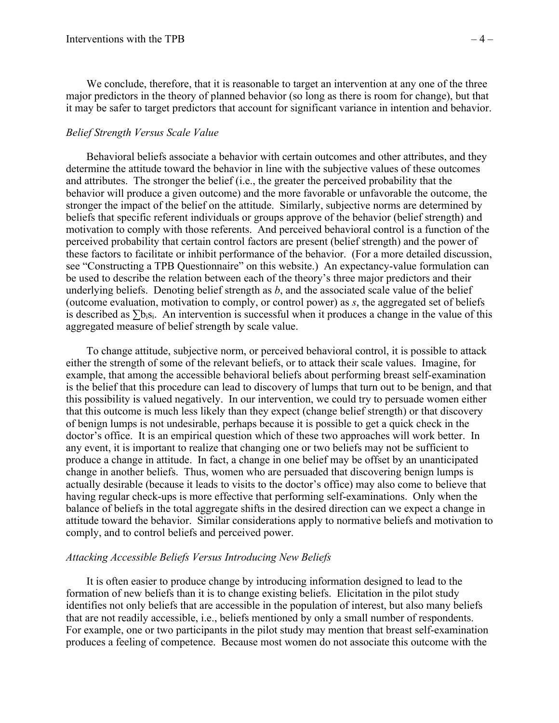We conclude, therefore, that it is reasonable to target an intervention at any one of the three major predictors in the theory of planned behavior (so long as there is room for change), but that it may be safer to target predictors that account for significant variance in intention and behavior.

## *Belief Strength Versus Scale Value*

Behavioral beliefs associate a behavior with certain outcomes and other attributes, and they determine the attitude toward the behavior in line with the subjective values of these outcomes and attributes. The stronger the belief (i.e., the greater the perceived probability that the behavior will produce a given outcome) and the more favorable or unfavorable the outcome, the stronger the impact of the belief on the attitude. Similarly, subjective norms are determined by beliefs that specific referent individuals or groups approve of the behavior (belief strength) and motivation to comply with those referents. And perceived behavioral control is a function of the perceived probability that certain control factors are present (belief strength) and the power of these factors to facilitate or inhibit performance of the behavior. (For a more detailed discussion, see "Constructing a TPB Questionnaire" on this website.) An expectancy-value formulation can be used to describe the relation between each of the theory's three major predictors and their underlying beliefs. Denoting belief strength as *b*, and the associated scale value of the belief (outcome evaluation, motivation to comply, or control power) as *s*, the aggregated set of beliefs is described as  $\sum b_i s_i$ . An intervention is successful when it produces a change in the value of this aggregated measure of belief strength by scale value.

To change attitude, subjective norm, or perceived behavioral control, it is possible to attack either the strength of some of the relevant beliefs, or to attack their scale values. Imagine, for example, that among the accessible behavioral beliefs about performing breast self-examination is the belief that this procedure can lead to discovery of lumps that turn out to be benign, and that this possibility is valued negatively. In our intervention, we could try to persuade women either that this outcome is much less likely than they expect (change belief strength) or that discovery of benign lumps is not undesirable, perhaps because it is possible to get a quick check in the doctor's office. It is an empirical question which of these two approaches will work better. In any event, it is important to realize that changing one or two beliefs may not be sufficient to produce a change in attitude. In fact, a change in one belief may be offset by an unanticipated change in another beliefs. Thus, women who are persuaded that discovering benign lumps is actually desirable (because it leads to visits to the doctor's office) may also come to believe that having regular check-ups is more effective that performing self-examinations. Only when the balance of beliefs in the total aggregate shifts in the desired direction can we expect a change in attitude toward the behavior. Similar considerations apply to normative beliefs and motivation to comply, and to control beliefs and perceived power.

#### *Attacking Accessible Beliefs Versus Introducing New Beliefs*

It is often easier to produce change by introducing information designed to lead to the formation of new beliefs than it is to change existing beliefs. Elicitation in the pilot study identifies not only beliefs that are accessible in the population of interest, but also many beliefs that are not readily accessible, i.e., beliefs mentioned by only a small number of respondents. For example, one or two participants in the pilot study may mention that breast self-examination produces a feeling of competence. Because most women do not associate this outcome with the